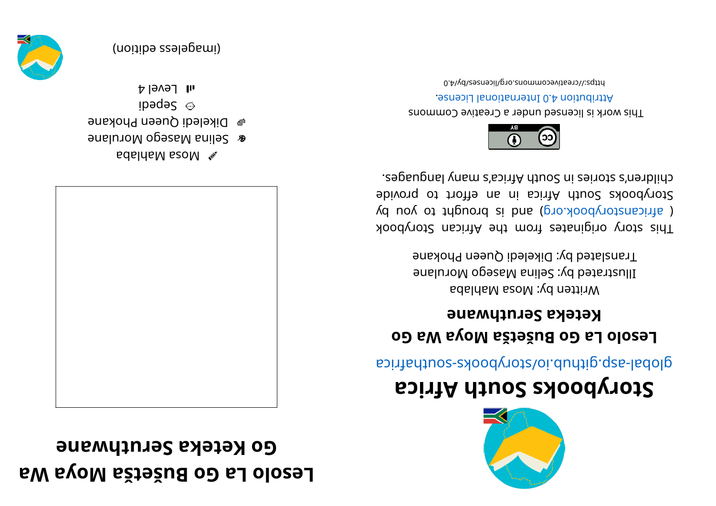## **Exagred La Go Bušetša Moya Wa ena where example example**



- abal kabila ba
- enina Masego Morulane
- e Dikeledi Queen Phokane
- ibədə $S$   $\odot$
- $H$  Ievel 4



(imageless edition)



## **storybooks South Africa**

aci ri re abological anti-

## **oG <sup>a</sup> Wayo Mašt eš uB oG aL ol oseL keteka Seruthwane**

Written by: Mosa Mahlaba Illustrated by: Selina Masego Morulane Translated by: Dikeledi Queen Phokane

koodynot and a fir morf set anigino yous sid T  $\chi$  d no $\chi$  ot trignor b si bue (pro. xood $\chi$ otzana) j Storybooks South Africa in an effort to provide chilen's shouse in Sonth Africe's nearbling.



This work is licensed under a Creative Commons . esnecial and and an endiously around

0. Algorivecommons.org/licenses/by/4.0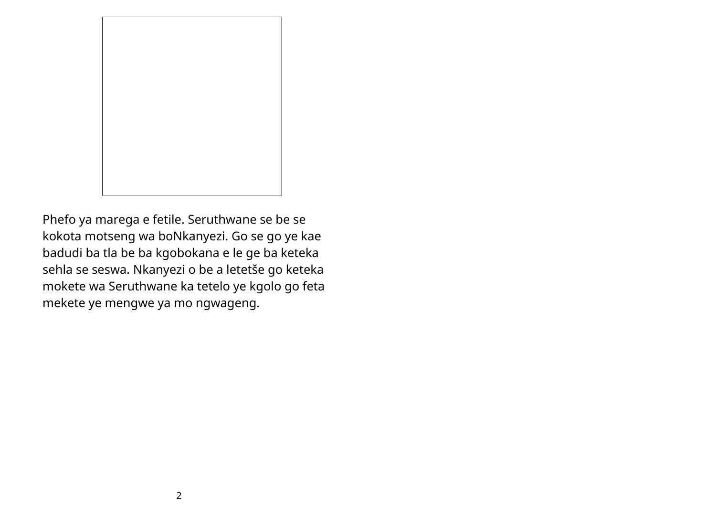

Phefo ya marega e fetile. Seruthwane se be se kokota motseng wa boNkanyezi. Go se go ye kae badudi ba tla be ba kgobokana e le ge ba keteka sehla se seswa. Nkanyezi o be a letetše go keteka mokete wa Seruthwane ka tetelo ye kgolo go feta mekete ye mengwe ya mo ngwageng.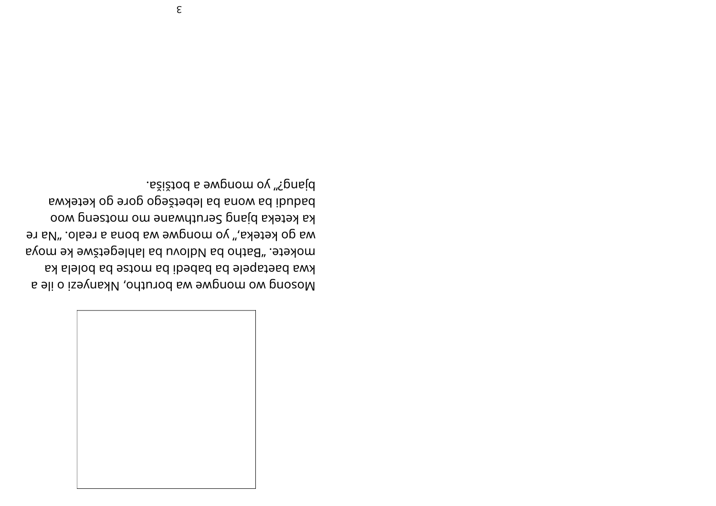

Mosoud wo mongwe wa porutho, Nkanyeri o ile a kwa baetapele ba babedi ba motse ba bolela ka mokete. "Batho ba Ndlovu ba lahlegetšwe ke myya wa go keteka," yo mongwe wa bona a realo. "Na re ka keteka bjang Seruthwane mo motseng woo badudi ba wona ba lebetšego gore go ketekwa bjang?" yo mongwe a botšiša.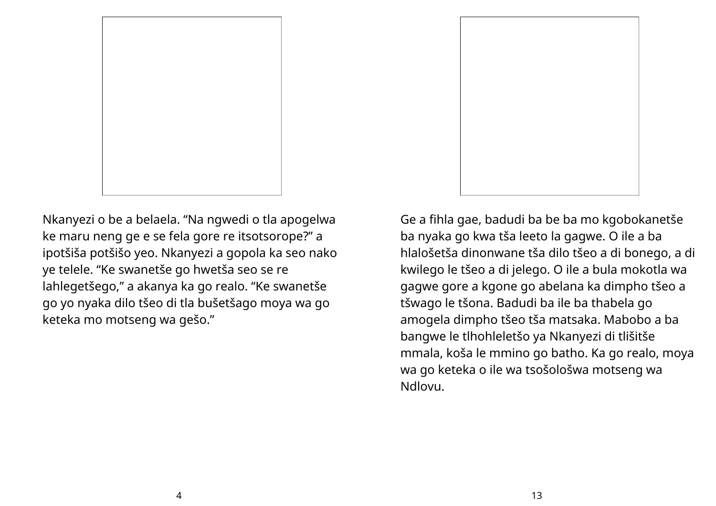

Nkanyezi o be a belaela. "Na ngwedi o tla apogelwa ke maru neng ge e se fela gore re itsotsorope?" a ipotšiša potšišo yeo. Nkanyezi a gopola ka seo nako ye telele. "Ke swanetše go hwetša seo se re lahlegetšego, " a akanya ka go realo. "Ke swanetše go yo nyaka dilo tšeo di tla bušetšago moya wa go keteka mo motseng wa gešo."

Ge a fihla gae, badudi ba be ba mo kgobokanetše ba nyaka go kwa tša leeto la gagwe. O ile a ba hlalošetša dinonwane tša dilo tšeo a di bonego, a di kwilego le tšeo a di jelego. O ile a bula mokotla wa gagwe gore a kgone go abelana ka dimpho tšeo a tšwago le tšona. Badudi ba ile ba thabela go amogela dimpho tšeo tša matsaka. Mabobo a ba bangwe le tlhohleletšo ya Nkanyezi di tlišitše mmala, koša le mmino go batho. Ka go realo, moya wa go keteka o ile wa tsošološwa motseng wa Ndlovu.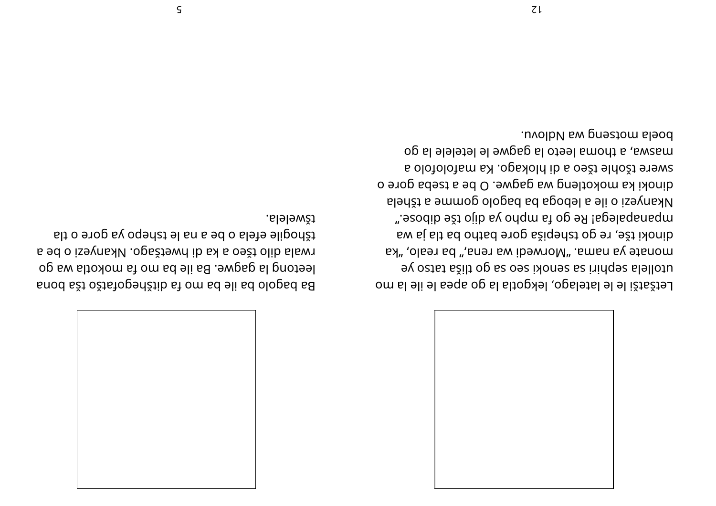

Band ašt oštstogenštib st om sd eli sd ologsd sa leetong la gagwe. Ba ile ba mo ta mokotla wa go rwala dilo tšeo a ka di bwetšago. Nkanyezi o be a tšhogile efela o be a na le tshepo ya gore o tla . al el ew ž

Letšatši le le latelago, lekgotla la go apea le ile la mo utollela sephiri sa senoki seo sa go tiliša tatso ye ax" ,olsəາ ad ",snəາ sw ibəwາoM" .smsn sv ətsnom <sup>a</sup> waj alt ab oht ab er og aši pehst og er , ešti koni d ". esodib ešt ojib s $\gamma$  ondm st op eR lagel apanam matematura matem matem matem matem matem matem matem matem m slenšt a emmog ologad ad agodel a eli o izeynak I dinoki ka mokotleng wa gagwe. O be a tseba gore o s olofolofism s a olofolofis ib a oešt eldošt er exerci og al el el esto la gagwe le letelele la go .uvolb*N* sw pnestom sleod

5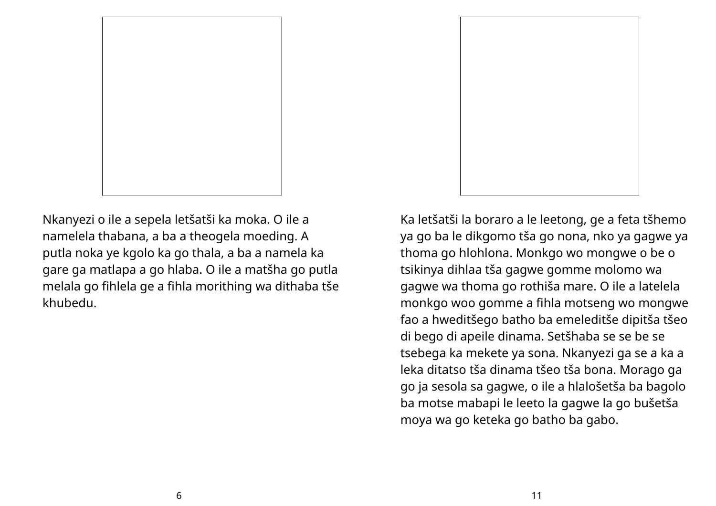

Nkanyezi o ile a sepela letšatši ka moka. O ile a namelela thabana, a ba a theogela moeding. A putla noka ye kgolo ka go thala, a ba a namela ka gare ga matlapa a go hlaba. O ile a matšha go putla melala go fihlela ge a fihla morithing wa dithaba tše khubedu.



Ka letšatši la boraro a le leetong, ge a feta tšhemo ya go ba le dikgomo tša go nona, nko ya gagwe ya thoma go hlohlona. Monkgo wo mongwe o be o tsikinya dihlaa tša gagwe gomme molomo wa gagwe wa thoma go rothiša mare. O ile a latelela monkgo woo gomme a fihla motseng wo mongwe fao a hweditšego batho ba emeleditše dipitša tšeo di bego di apeile dinama. Setšhaba se se be se tsebega ka mekete ya sona. Nkanyezi ga se a ka a leka ditatso tša dinama tšeo tša bona. Morago ga go ja sesola sa gagwe, o ile a hlalošetša ba bagolo ba motse mabapi le leeto la gagwe la go bušetša moya wa go keteka go batho ba gabo.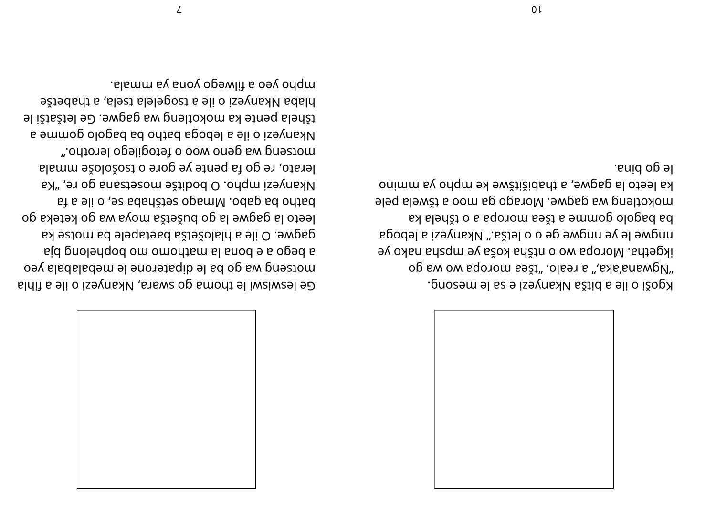## le go pina.

kgoši o ile a bitša Nkanyezi e sa le mesong. op sw ow sqoาom səži" 'olsəາ s "'sas'snawpV" ikgetha. Moropa wo o ntšha koša ye mpsha nako ye ngwe le ye nngwe ge o o letša." Nkanyezi a leboga ak al ehšt o a aporom sežt a emmog ologad ad eleq wa gagwe. Morago ga moo a tšwela pele ka leeto la gagwe, a thabistiswe ke mpho ya mmino



Ge leswiswi le thoma go swara, Akanyezi o ile a fihla motseng wa go ba le gipaterone le mepalabala yeo aj b edo no pous el euro en poblego de poblego e gagwe. O ile a hlalošetša baetapele ba motse ka leeto la gagwe la go bušetša moya wa go keteka go at a eli o , es adañas oga m $M$  . odag ad ontad ka ", en og anastesom ežtibod O .onqm iseynak M lerato, re go fa pente ye gore o tsošološe mmala motseng wa geno woo o fetogilego lerotho." <sup>a</sup> <sup>e</sup> mmog ol ogab ab oht ab agobel <sup>a</sup> eli oi zeynak N tšhela pente ka mokotleng wa gagwe. Ge letšatši le biaba Mkanyezi o ile a tsogelela tsela, a thabetše . al ammay eo ay and an and must and must an